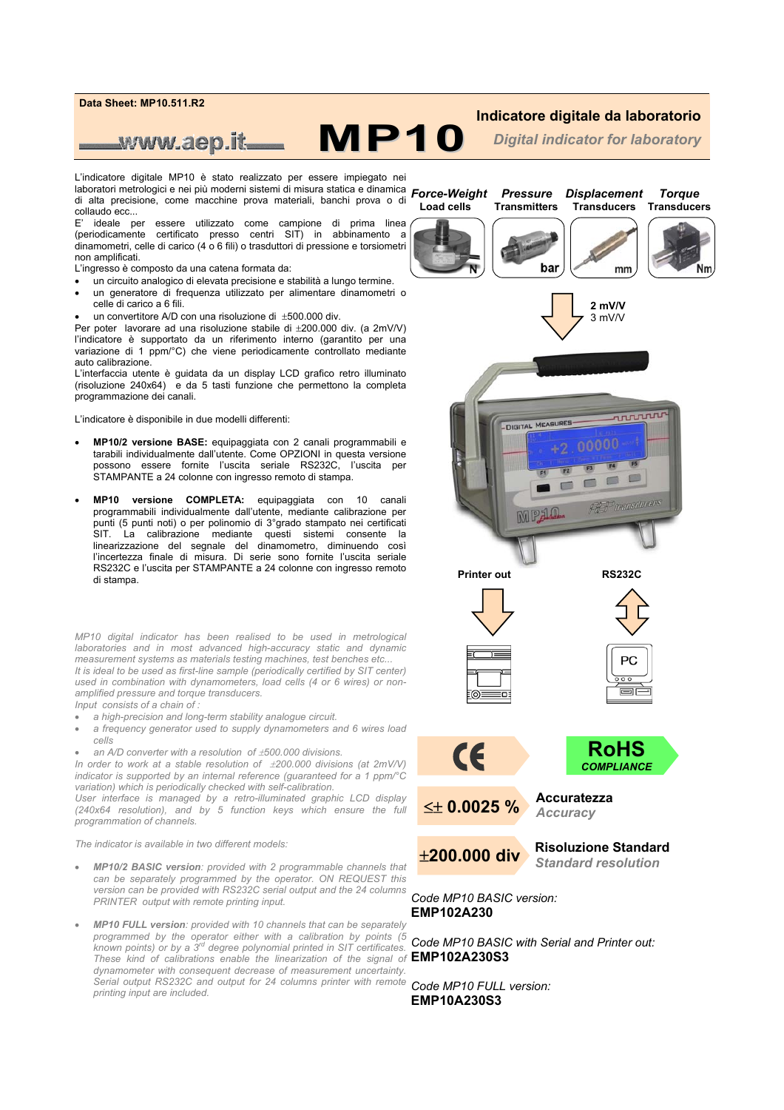

## **Indicatore digitale da laboratorio**

*Digital indicator for laboratory*

L'indicatore digitale MP10 è stato realizzato per essere impiegato nei laboratori metrologici e nei più moderni sistemi di misura statica e dinamica di alta precisione, come macchine prova materiali, banchi prova o di collaudo ecc...

**MP10**

E' ideale per essere utilizzato come campione di prima linea (periodicamente certificato presso centri SIT) in abbinamento a dinamometri, celle di carico (4 o 6 fili) o trasduttori di pressione e torsiometri non amplificati.

L'ingresso è composto da una catena formata da:

www.aep.it

- un circuito analogico di elevata precisione e stabilità a lungo termine.
- un generatore di frequenza utilizzato per alimentare dinamometri o celle di carico a 6 fili.
- un convertitore A/D con una risoluzione di ±500.000 div.

Per poter lavorare ad una risoluzione stabile di ±200.000 div. (a 2mV/V) l'indicatore è supportato da un riferimento interno (garantito per una variazione di 1 ppm/°C) che viene periodicamente controllato mediante auto calibrazione.

L'interfaccia utente è guidata da un display LCD grafico retro illuminato (risoluzione 240x64) e da 5 tasti funzione che permettono la completa programmazione dei canali.

L'indicatore è disponibile in due modelli differenti:

- **MP10/2 versione BASE:** equipaggiata con 2 canali programmabili e tarabili individualmente dall'utente. Come OPZIONI in questa versione possono essere fornite l'uscita seriale RS232C, l'uscita per STAMPANTE a 24 colonne con ingresso remoto di stampa.
- **MP10 versione COMPLETA:** equipaggiata con 10 canali programmabili individualmente dall'utente, mediante calibrazione per punti (5 punti noti) o per polinomio di 3°grado stampato nei certificati SIT. La calibrazione mediante questi sistemi consente la linearizzazione del segnale del dinamometro, diminuendo così l'incertezza finale di misura. Di serie sono fornite l'uscita seriale RS232C e l'uscita per STAMPANTE a 24 colonne con ingresso remoto di stampa.

*MP10 digital indicator has been realised to be used in metrological laboratories and in most advanced high-accuracy static and dynamic measurement systems as materials testing machines, test benches etc... It is ideal to be used as first-line sample (periodically certified by SIT center) used in combination with dynamometers, load cells (4 or 6 wires) or nonamplified pressure and torque transducers.* 

*Input consists of a chain of :* 

- *a high-precision and long-term stability analogue circuit.*
- *a frequency generator used to supply dynamometers and 6 wires load cells*
- *an A/D converter with a resolution of* ±*500.000 divisions.*

*In order to work at a stable resolution of*  $\pm 200.000$  *divisions (at 2mV/V) indicator is supported by an internal reference (guaranteed for a 1 ppm/°C variation) which is periodically checked with self-calibration.* 

*User interface is managed by a retro-illuminated graphic LCD display (240x64 resolution), and by 5 function keys which ensure the full programmation of channels.* 

*The indicator is available in two different models:* 

- *MP10/2 BASIC version: provided with 2 programmable channels that can be separately programmed by the operator. ON REQUEST this version can be provided with RS232C serial output and the 24 columns PRINTER output with remote printing input.*
- *MP10 FULL version: provided with 10 channels that can be separately programmed by the operator either with a calibration by points (5 known points) or by a 3rd degree polynomial printed in SIT certificates. These kind of calibrations enable the linearization of the signal of*  **EMP102A230S3** *dynamometer with consequent decrease of measurement uncertainty. Serial output RS232C and output for 24 columns printer with remote printing input are included.*

*Force-Weight**Pressure Displacement Torque*   **Load cells****Transmitters Transducers Transducers** 







**Printer out RS232C** 







**RoHS** 



*COMPLIANCE* 

**Accuratezza** *Accuracy* 



≤± **0.0025 %** 

**Risoluzione Standard**  *Standard resolution*

*Code MP10 BASIC version:* **EMP102A230** 

*Code MP10 BASIC with Serial and Printer out:*

*Code MP10 FULL version:*  **EMP10A230S3**